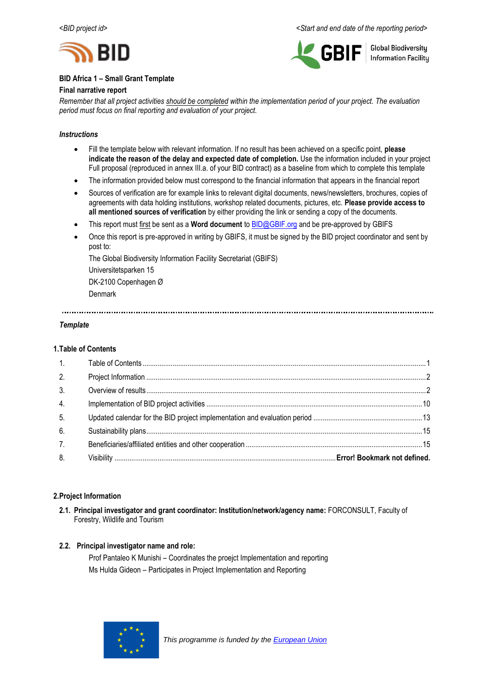



**Global Biodiversity Information Facility** 

# **BID Africa 1 – Small Grant Template**

# **Final narrative report**

*Remember that all project activities should be completed within the implementation period of your project. The evaluation period must focus on final reporting and evaluation of your project.*

# *Instructions*

- Fill the template below with relevant information. If no result has been achieved on a specific point, **please indicate the reason of the delay and expected date of completion.** Use the information included in your project Full proposal (reproduced in annex III.a. of your BID contract) as a baseline from which to complete this template
- The information provided below must correspond to the financial information that appears in the financial report
- Sources of verification are for example links to relevant digital documents, news/newsletters, brochures, copies of agreements with data holding institutions, workshop related documents, pictures, etc. **Please provide access to all mentioned sources of verification** by either providing the link or sending a copy of the documents.
- This report must first be sent as a **Word document** to [BID@GBIF.org](mailto:BID@GBIF.org) and be pre-approved by GBIFS
- Once this report is pre-approved in writing by GBIFS, it must be signed by the BID project coordinator and sent by post to:

The Global Biodiversity Information Facility Secretariat (GBIFS) Universitetsparken 15 DK-2100 Copenhagen Ø Denmark

# *Template*

# <span id="page-0-0"></span>**1.Table of Contents**

| 2.             |  |
|----------------|--|
| 3 <sub>1</sub> |  |
| 4.             |  |
| 5 <sub>1</sub> |  |
| 6.             |  |
| 7.             |  |
| 8.             |  |

# <span id="page-0-1"></span>**2.Project Information**

**2.1. Principal investigator and grant coordinator: Institution/network/agency name:** FORCONSULT, Faculty of Forestry, Wildlife and Tourism

# **2.2. Principal investigator name and role:**

Prof Pantaleo K Munishi – Coordinates the proejct Implementation and reporting Ms Hulda Gideon – Participates in Project Implementation and Reporting

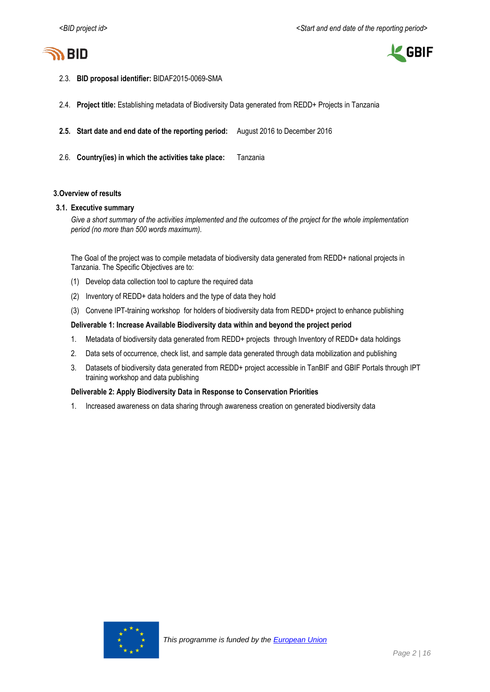



- 2.3. **BID proposal identifier:** BIDAF2015-0069-SMA
- 2.4. **Project title:** Establishing metadata of Biodiversity Data generated from REDD+ Projects in Tanzania
- **2.5. Start date and end date of the reporting period:** August 2016 to December 2016
- 2.6. **Country(ies) in which the activities take place:** Tanzania

# <span id="page-1-0"></span>**3.Overview of results**

### **3.1. Executive summary**

*Give a short summary of the activities implemented and the outcomes of the project for the whole implementation period (no more than 500 words maximum).*

The Goal of the project was to compile metadata of biodiversity data generated from REDD+ national projects in Tanzania. The Specific Objectives are to:

- (1) Develop data collection tool to capture the required data
- (2) Inventory of REDD+ data holders and the type of data they hold
- (3) Convene IPT-training workshop for holders of biodiversity data from REDD+ project to enhance publishing

### **Deliverable 1: Increase Available Biodiversity data within and beyond the project period**

- 1. Metadata of biodiversity data generated from REDD+ projects through Inventory of REDD+ data holdings
- 2. Data sets of occurrence, check list, and sample data generated through data mobilization and publishing
- 3. Datasets of biodiversity data generated from REDD+ project accessible in TanBIF and GBIF Portals through IPT training workshop and data publishing

### **Deliverable 2: Apply Biodiversity Data in Response to Conservation Priorities**

1. Increased awareness on data sharing through awareness creation on generated biodiversity data

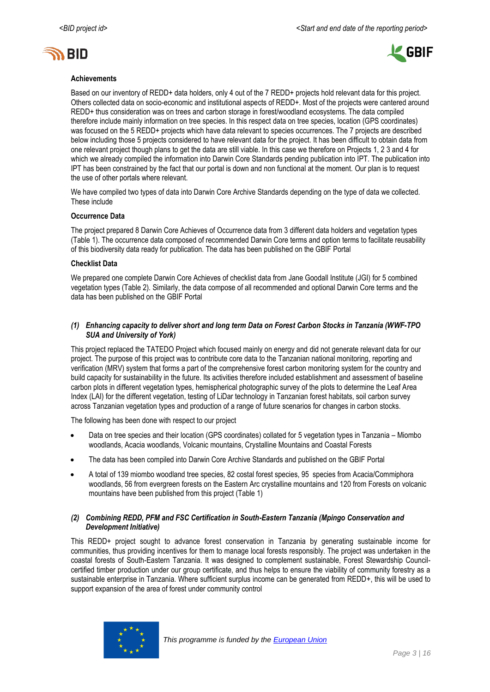



### **Achievements**

Based on our inventory of REDD+ data holders, only 4 out of the 7 REDD+ projects hold relevant data for this project. Others collected data on socio-economic and institutional aspects of REDD+. Most of the projects were cantered around REDD+ thus consideration was on trees and carbon storage in forest/woodland ecosystems. The data compiled therefore include mainly information on tree species. In this respect data on tree species, location (GPS coordinates) was focused on the 5 REDD+ projects which have data relevant to species occurrences. The 7 projects are described below including those 5 projects considered to have relevant data for the project. It has been difficult to obtain data from one relevant project though plans to get the data are still viable. In this case we therefore on Projects 1, 2 3 and 4 for which we already compiled the information into Darwin Core Standards pending publication into IPT. The publication into IPT has been constrained by the fact that our portal is down and non functional at the moment. Our plan is to request the use of other portals where relevant.

We have compiled two types of data into Darwin Core Archive Standards depending on the type of data we collected. These include

### **Occurrence Data**

The project prepared 8 Darwin Core Achieves of Occurrence data from 3 different data holders and vegetation types (Table 1). The occurrence data composed of recommended Darwin Core terms and option terms to facilitate reusability of this biodiversity data ready for publication. The data has been published on the GBIF Portal

#### **Checklist Data**

We prepared one complete Darwin Core Achieves of checklist data from Jane Goodall Institute (JGI) for 5 combined vegetation types (Table 2)*.* Similarly, the data compose of all recommended and optional Darwin Core terms and the data has been published on the GBIF Portal

### *(1) Enhancing capacity to deliver short and long term Data on Forest Carbon Stocks in Tanzania (WWF-TPO SUA and University of York)*

This project replaced the TATEDO Project which focused mainly on energy and did not generate relevant data for our project. The purpose of this project was to contribute core data to the Tanzanian national monitoring, reporting and verification (MRV) system that forms a part of the comprehensive forest carbon monitoring system for the country and build capacity for sustainability in the future. Its activities therefore included establishment and assessment of baseline carbon plots in different vegetation types, hemispherical photographic survey of the plots to determine the Leaf Area Index (LAI) for the different vegetation, testing of LiDar technology in Tanzanian forest habitats, soil carbon survey across Tanzanian vegetation types and production of a range of future scenarios for changes in carbon stocks.

The following has been done with respect to our project

- Data on tree species and their location (GPS coordinates) collated for 5 vegetation types in Tanzania Miombo woodlands, Acacia woodlands, Volcanic mountains, Crystalline Mountains and Coastal Forests
- The data has been compiled into Darwin Core Archive Standards and published on the GBIF Portal
- A total of 139 miombo woodland tree species, 82 costal forest species, 95 species from Acacia/Commiphora woodlands, 56 from evergreen forests on the Eastern Arc crystalline mountains and 120 from Forests on volcanic mountains have been published from this project (Table 1)

### *(2) Combining REDD, PFM and FSC Certification in South-Eastern Tanzania (Mpingo Conservation and Development Initiative)*

This REDD+ project sought to advance forest conservation in Tanzania by generating sustainable income for communities, thus providing incentives for them to manage local forests responsibly. The project was undertaken in the coastal forests of South-Eastern Tanzania. It was designed to complement sustainable, Forest Stewardship Councilcertified timber production under our group certificate, and thus helps to ensure the viability of community forestry as a sustainable enterprise in Tanzania. Where sufficient surplus income can be generated from REDD+, this will be used to support expansion of the area of forest under community control

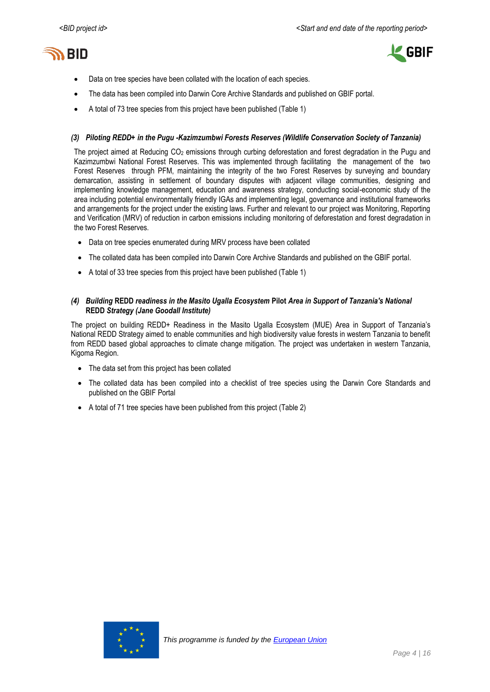



- Data on tree species have been collated with the location of each species.
- The data has been compiled into Darwin Core Archive Standards and published on GBIF portal.
- A total of 73 tree species from this project have been published (Table 1)

#### *(3) Piloting REDD+ in the Pugu -Kazimzumbwi Forests Reserves (Wildlife Conservation Society of Tanzania)*

The project aimed at Reducing CO<sub>2</sub> emissions through curbing deforestation and forest degradation in the Pugu and Kazimzumbwi National Forest Reserves. This was implemented through facilitating the management of the two Forest Reserves through PFM, maintaining the integrity of the two Forest Reserves by surveying and boundary demarcation, assisting in settlement of boundary disputes with adjacent village communities, designing and implementing knowledge management, education and awareness strategy, conducting social-economic study of the area including potential environmentally friendly IGAs and implementing legal, governance and institutional frameworks and arrangements for the project under the existing laws. Further and relevant to our project was Monitoring, Reporting and Verification (MRV) of reduction in carbon emissions including monitoring of deforestation and forest degradation in the two Forest Reserves.

- Data on tree species enumerated during MRV process have been collated
- The collated data has been compiled into Darwin Core Archive Standards and published on the GBIF portal.
- A total of 33 tree species from this project have been published (Table 1)

### *(4) Building* **REDD** *readiness in the Masito Ugalla Ecosystem* **Pilot** *Area in Support of Tanzania's National*  **REDD** *Strategy (Jane Goodall Institute)*

The project on building REDD+ Readiness in the Masito Ugalla Ecosystem (MUE) Area in Support of Tanzania's National REDD Strategy aimed to enable communities and high biodiversity value forests in western Tanzania to benefit from REDD based global approaches to climate change mitigation. The project was undertaken in western Tanzania, Kigoma Region.

- The data set from this project has been collated
- The collated data has been compiled into a checklist of tree species using the Darwin Core Standards and published on the GBIF Portal
- A total of 71 tree species have been published from this project (Table 2)

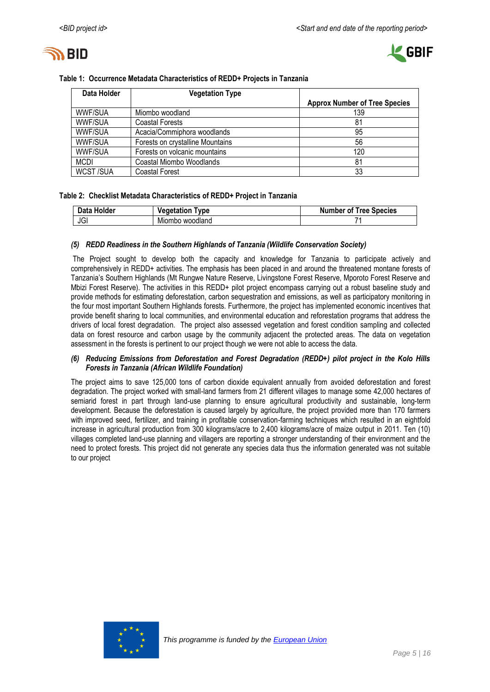



| Data Holder     | <b>Vegetation Type</b>           |                                      |
|-----------------|----------------------------------|--------------------------------------|
|                 |                                  | <b>Approx Number of Tree Species</b> |
| <b>WWF/SUA</b>  | Miombo woodland                  | 139                                  |
| <b>WWF/SUA</b>  | <b>Coastal Forests</b>           | 81                                   |
| <b>WWF/SUA</b>  | Acacia/Commiphora woodlands      | 95                                   |
| <b>WWF/SUA</b>  | Forests on crystalline Mountains | 56                                   |
| <b>WWF/SUA</b>  | Forests on volcanic mountains    | 120                                  |
| <b>MCDI</b>     | Coastal Miombo Woodlands         | 81                                   |
| <b>WCST/SUA</b> | <b>Coastal Forest</b>            | 33                                   |

### **Table 1: Occurrence Metadata Characteristics of REDD+ Projects in Tanzania**

# **Table 2: Checklist Metadata Characteristics of REDD+ Project in Tanzania**

| Data Holder | Vegetation<br><b>vpe</b> | <b>Number of Tree Species</b> |
|-------------|--------------------------|-------------------------------|
| JGI         | Miombo woodland          |                               |

### *(5) REDD Readiness in the Southern Highlands of Tanzania (Wildlife Conservation Society)*

The Project sought to develop both the capacity and knowledge for Tanzania to participate actively and comprehensively in REDD+ activities. The emphasis has been placed in and around the threatened montane forests of Tanzania's Southern Highlands (Mt Rungwe Nature Reserve, Livingstone Forest Reserve, Mporoto Forest Reserve and Mbizi Forest Reserve). The activities in this REDD+ pilot project encompass carrying out a robust baseline study and provide methods for estimating deforestation, carbon sequestration and emissions, as well as participatory monitoring in the four most important Southern Highlands forests. Furthermore, the project has implemented economic incentives that provide benefit sharing to local communities, and environmental education and reforestation programs that address the drivers of local forest degradation. The project also assessed vegetation and forest condition sampling and collected data on forest resource and carbon usage by the community adjacent the protected areas. The data on vegetation assessment in the forests is pertinent to our project though we were not able to access the data.

# *(6) Reducing Emissions from Deforestation and Forest Degradation (REDD+) pilot project in the Kolo Hills Forests in Tanzania (African Wildlife Foundation)*

The project aims to save 125,000 tons of carbon dioxide equivalent annually from avoided deforestation and forest degradation. The project worked with small-land farmers from 21 different villages to manage some 42,000 hectares of semiarid forest in part through land-use planning to ensure agricultural productivity and sustainable, long-term development. Because the deforestation is caused largely by agriculture, the project provided more than 170 farmers with improved seed, fertilizer, and training in profitable conservation-farming techniques which resulted in an eightfold increase in agricultural production from 300 kilograms/acre to 2,400 kilograms/acre of maize output in 2011. Ten (10) villages completed land-use planning and villagers are reporting a stronger understanding of their environment and the need to protect forests. This project did not generate any species data thus the information generated was not suitable to our project

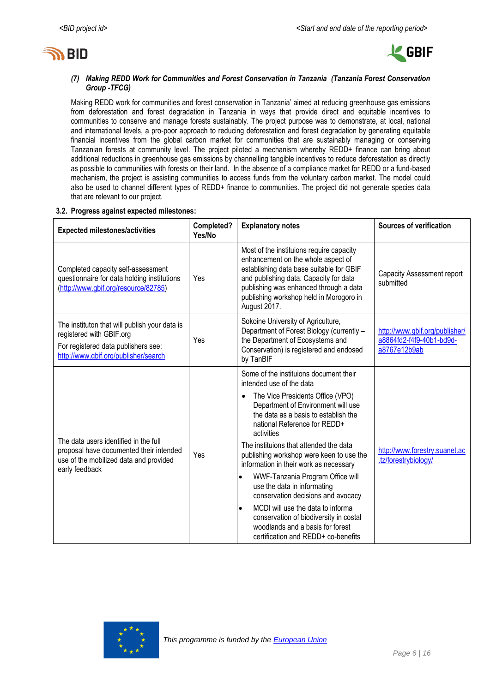



# *(7) Making REDD Work for Communities and Forest Conservation in Tanzania (Tanzania Forest Conservation Group -TFCG)*

Making REDD work for communities and forest conservation in Tanzania' aimed at reducing greenhouse gas emissions from deforestation and forest degradation in Tanzania in ways that provide direct and equitable incentives to communities to conserve and manage forests sustainably. The project purpose was to demonstrate, at local, national and international levels, a pro-poor approach to reducing deforestation and forest degradation by generating equitable financial incentives from the global carbon market for communities that are sustainably managing or conserving Tanzanian forests at community level. The project piloted a mechanism whereby REDD+ finance can bring about additional reductions in greenhouse gas emissions by channelling tangible incentives to reduce deforestation as directly as possible to communities with forests on their land. In the absence of a compliance market for REDD or a fund-based mechanism, the project is assisting communities to access funds from the voluntary carbon market. The model could also be used to channel different types of REDD+ finance to communities. The project did not generate species data that are relevant to our project.

# **3.2. Progress against expected milestones:**

| <b>Expected milestones/activities</b>                                                                                                                    | Completed?<br>Yes/No | <b>Explanatory notes</b>                                                                                                                                                                                                                                                                                                                                                                                                                                                                                                                                                                                                                                        | <b>Sources of verification</b>                                             |
|----------------------------------------------------------------------------------------------------------------------------------------------------------|----------------------|-----------------------------------------------------------------------------------------------------------------------------------------------------------------------------------------------------------------------------------------------------------------------------------------------------------------------------------------------------------------------------------------------------------------------------------------------------------------------------------------------------------------------------------------------------------------------------------------------------------------------------------------------------------------|----------------------------------------------------------------------------|
| Completed capacity self-assessment<br>questionnaire for data holding institutions<br>(http://www.gbif.org/resource/82785)                                | Yes                  | Most of the instituions require capacity<br>enhancement on the whole aspect of<br>establishing data base suitable for GBIF<br>and publishing data. Capacity for data<br>publishing was enhanced through a data<br>publishing workshop held in Morogoro in<br>August 2017.                                                                                                                                                                                                                                                                                                                                                                                       | <b>Capacity Assessment report</b><br>submitted                             |
| The instituton that will publish your data is<br>registered with GBIF.org<br>For registered data publishers see:<br>http://www.gbif.org/publisher/search | Yes                  | Sokoine University of Agriculture,<br>Department of Forest Biology (currently -<br>the Department of Ecosystems and<br>Conservation) is registered and endosed<br>by TanBIF                                                                                                                                                                                                                                                                                                                                                                                                                                                                                     | http://www.gbif.org/publisher/<br>a8864fd2-f4f9-40b1-bd9d-<br>a8767e12b9ab |
| The data users identified in the full<br>proposal have documented their intended<br>use of the mobilized data and provided<br>early feedback             | Yes                  | Some of the instituions document their<br>intended use of the data<br>The Vice Presidents Office (VPO)<br>Department of Environment will use<br>the data as a basis to establish the<br>national Reference for REDD+<br>activities<br>The instituions that attended the data<br>publishing workshop were keen to use the<br>information in their work as necessary<br>WWF-Tanzania Program Office will<br>$\bullet$<br>use the data in informating<br>conservation decisions and avocacy<br>MCDI will use the data to informa<br>$\bullet$<br>conservation of biodiversity in costal<br>woodlands and a basis for forest<br>certification and REDD+ co-benefits | http://www.forestry.suanet.ac<br>.tz/forestrybiology/                      |

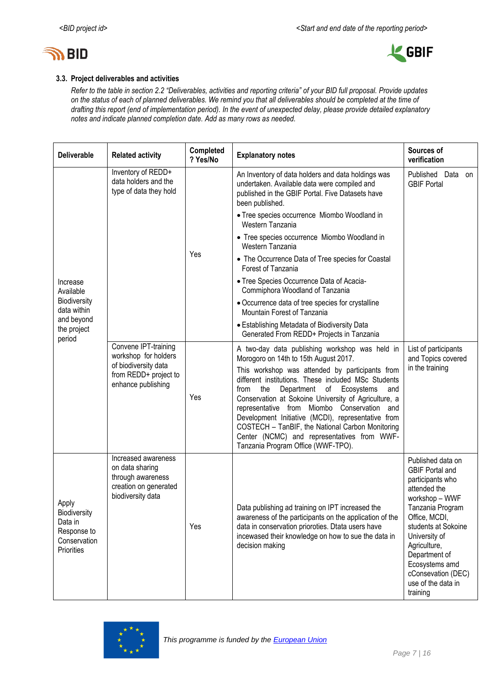



# **3.3. Project deliverables and activities**

*Refer to the table in section 2.2 "Deliverables, activities and reporting criteria" of your BID full proposal. Provide updates on the status of each of planned deliverables. We remind you that all deliverables should be completed at the time of drafting this report (end of implementation period). In the event of unexpected delay, please provide detailed explanatory notes and indicate planned completion date. Add as many rows as needed.*

| <b>Deliverable</b>                                                                   | <b>Related activity</b>                                                                                   | Completed<br>? Yes/No                          | <b>Explanatory notes</b>                                                                                                                                                                                                                                                                                                                                                                                                                                       | Sources of<br>verification                                                                                                                                                                                                                                                                |
|--------------------------------------------------------------------------------------|-----------------------------------------------------------------------------------------------------------|------------------------------------------------|----------------------------------------------------------------------------------------------------------------------------------------------------------------------------------------------------------------------------------------------------------------------------------------------------------------------------------------------------------------------------------------------------------------------------------------------------------------|-------------------------------------------------------------------------------------------------------------------------------------------------------------------------------------------------------------------------------------------------------------------------------------------|
|                                                                                      | Inventory of REDD+<br>data holders and the<br>type of data they hold                                      |                                                | An Inventory of data holders and data holdings was<br>undertaken. Available data were compiled and<br>published in the GBIF Portal. Five Datasets have<br>been published.                                                                                                                                                                                                                                                                                      | Published Data on<br><b>GBIF Portal</b>                                                                                                                                                                                                                                                   |
|                                                                                      |                                                                                                           |                                                | • Tree species occurrence Miombo Woodland in<br>Western Tanzania                                                                                                                                                                                                                                                                                                                                                                                               |                                                                                                                                                                                                                                                                                           |
|                                                                                      |                                                                                                           |                                                | • Tree species occurrence Miombo Woodland in<br>Western Tanzania                                                                                                                                                                                                                                                                                                                                                                                               |                                                                                                                                                                                                                                                                                           |
|                                                                                      |                                                                                                           | Yes                                            | • The Occurrence Data of Tree species for Coastal<br>Forest of Tanzania                                                                                                                                                                                                                                                                                                                                                                                        |                                                                                                                                                                                                                                                                                           |
| Increase<br>Available                                                                |                                                                                                           |                                                | • Tree Species Occurrence Data of Acacia-<br>Commiphora Woodland of Tanzania                                                                                                                                                                                                                                                                                                                                                                                   |                                                                                                                                                                                                                                                                                           |
| Biodiversity<br>data within                                                          |                                                                                                           |                                                | • Occurrence data of tree species for crystalline<br>Mountain Forest of Tanzania                                                                                                                                                                                                                                                                                                                                                                               |                                                                                                                                                                                                                                                                                           |
| and beyond<br>the project<br>period                                                  |                                                                                                           |                                                | • Establishing Metadata of Biodiversity Data<br>Generated From REDD+ Projects in Tanzania                                                                                                                                                                                                                                                                                                                                                                      |                                                                                                                                                                                                                                                                                           |
|                                                                                      | Convene IPT-training<br>workshop for holders<br>Morogoro on 14th to 15th August 2017.                     | A two-day data publishing workshop was held in | List of participants<br>and Topics covered                                                                                                                                                                                                                                                                                                                                                                                                                     |                                                                                                                                                                                                                                                                                           |
|                                                                                      | of biodiversity data<br>from REDD+ project to<br>enhance publishing                                       | Yes                                            | This workshop was attended by participants from<br>different institutions. These included MSc Students<br>Department of Ecosystems<br>the<br>from<br>and<br>Conservation at Sokoine University of Agriculture, a<br>representative from Miombo Conservation and<br>Development Initiative (MCDI), representative from<br>COSTECH - TanBIF, the National Carbon Monitoring<br>Center (NCMC) and representatives from WWF-<br>Tanzania Program Office (WWF-TPO). | in the training                                                                                                                                                                                                                                                                           |
| Apply<br><b>Biodiversity</b><br>Data in<br>Response to<br>Conservation<br>Priorities | Increased awareness<br>on data sharing<br>through awareness<br>creation on generated<br>biodiversity data | Yes                                            | Data publishing ad training on IPT increased the<br>awareness of the participants on the application of the<br>data in conservation prioroties. Dtata users have<br>incewased their knowledge on how to sue the data in<br>decision making                                                                                                                                                                                                                     | Published data on<br><b>GBIF Portal and</b><br>participants who<br>attended the<br>workshop - WWF<br>Tanzania Program<br>Office, MCDI,<br>students at Sokoine<br>University of<br>Agriculture,<br>Department of<br>Ecosystems amd<br>cConsevation (DEC)<br>use of the data in<br>training |

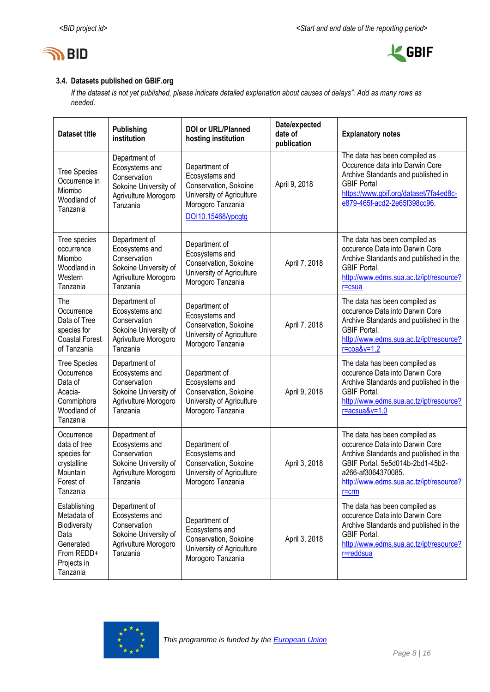



# **3.4. Datasets published on GBIF.org**

*If the dataset is not yet published, please indicate detailed explanation about causes of delays". Add as many rows as needed.*

| <b>Dataset title</b>                                                                                      | <b>Publishing</b><br>institution                                                                             | <b>DOI or URL/Planned</b><br>hosting institution                                                                                 | Date/expected<br>date of<br>publication | <b>Explanatory notes</b>                                                                                                                                                                                                     |
|-----------------------------------------------------------------------------------------------------------|--------------------------------------------------------------------------------------------------------------|----------------------------------------------------------------------------------------------------------------------------------|-----------------------------------------|------------------------------------------------------------------------------------------------------------------------------------------------------------------------------------------------------------------------------|
| <b>Tree Species</b><br>Occurrence in<br>Miombo<br>Woodland of<br>Tanzania                                 | Department of<br>Ecosystems and<br>Conservation<br>Sokoine University of<br>Agrivulture Morogoro<br>Tanzania | Department of<br>Ecosystems and<br>Conservation, Sokoine<br>University of Agriculture<br>Morogoro Tanzania<br>DOI10.15468/ypcgtg | April 9, 2018                           | The data has been compiled as<br>Occurence data into Darwin Core<br>Archive Standards and published in<br><b>GBIF Portal</b><br>https://www.gbif.org/dataset/7fa4ed8c-<br>e879-465f-acd2-2e65f398cc96.                       |
| Tree species<br>occurrence<br>Miombo<br>Woodland in<br>Western<br>Tanzania                                | Department of<br>Ecosystems and<br>Conservation<br>Sokoine University of<br>Agrivulture Morogoro<br>Tanzania | Department of<br>Ecosystems and<br>Conservation, Sokoine<br>University of Agriculture<br>Morogoro Tanzania                       | April 7, 2018                           | The data has been compiled as<br>occurence Data into Darwin Core<br>Archive Standards and published in the<br><b>GBIF Portal.</b><br>http://www.edms.sua.ac.tz/ipt/resource?<br>$r = c$ sua                                  |
| The<br>Occurrence<br>Data of Tree<br>species for<br><b>Coastal Forest</b><br>of Tanzania                  | Department of<br>Ecosystems and<br>Conservation<br>Sokoine University of<br>Agrivulture Morogoro<br>Tanzania | Department of<br>Ecosystems and<br>Conservation, Sokoine<br>University of Agriculture<br>Morogoro Tanzania                       | April 7, 2018                           | The data has been compiled as<br>occurence Data into Darwin Core<br>Archive Standards and published in the<br><b>GBIF Portal.</b><br>http://www.edms.sua.ac.tz/ipt/resource?<br>$r = \cos\theta$ v=1.2                       |
| <b>Tree Species</b><br>Occurrence<br>Data of<br>Acacia-<br>Commiphora<br>Woodland of<br>Tanzania          | Department of<br>Ecosystems and<br>Conservation<br>Sokoine University of<br>Agrivulture Morogoro<br>Tanzania | Department of<br>Ecosystems and<br>Conservation, Sokoine<br>University of Agriculture<br>Morogoro Tanzania                       | April 9, 2018                           | The data has been compiled as<br>occurence Data into Darwin Core<br>Archive Standards and published in the<br><b>GBIF Portal.</b><br>http://www.edms.sua.ac.tz/ipt/resource?<br>$r = acsua&v = 1.0$                          |
| Occurrence<br>data of tree<br>species for<br>crystalline<br>Mountain<br>Forest of<br>Tanzania             | Department of<br>Ecosystems and<br>Conservation<br>Sokoine University of<br>Agrivulture Morogoro<br>Tanzania | Department of<br>Ecosystems and<br>Conservation, Sokoine<br>University of Agriculture<br>Morogoro Tanzania                       | April 3, 2018                           | The data has been compiled as<br>occurence Data into Darwin Core<br>Archive Standards and published in the<br>GBIF Portal. 5e5d014b-2bd1-45b2-<br>a266-af3064370085.<br>http://www.edms.sua.ac.tz/ipt/resource?<br>$r = crm$ |
| Establishing<br>Metadata of<br>Biodiversity<br>Data<br>Generated<br>From REDD+<br>Projects in<br>Tanzania | Department of<br>Ecosystems and<br>Conservation<br>Sokoine University of<br>Agrivulture Morogoro<br>Tanzania | Department of<br>Ecosystems and<br>Conservation, Sokoine<br>University of Agriculture<br>Morogoro Tanzania                       | April 3, 2018                           | The data has been compiled as<br>occurence Data into Darwin Core<br>Archive Standards and published in the<br><b>GBIF Portal.</b><br>http://www.edms.sua.ac.tz/ipt/resource?<br>r=reddsua                                    |

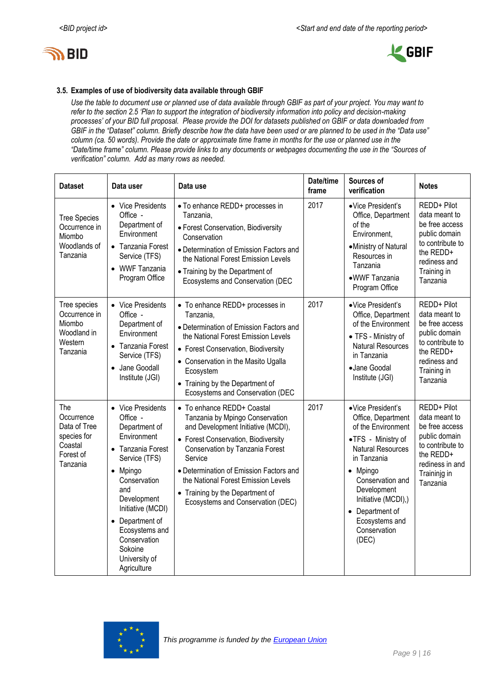



# **3.5. Examples of use of biodiversity data available through GBIF**

*Use the table to document use or planned use of data available through GBIF as part of your project. You may want to refer to the section 2.5 'Plan to support the integration of biodiversity information into policy and decision-making processes' of your BID full proposal. Please provide the DOI for datasets published on GBIF or data downloaded from GBIF in the "Dataset" column. Briefly describe how the data have been used or are planned to be used in the "Data use" column (ca. 50 words). Provide the date or approximate time frame in months for the use or planned use in the "Date/time frame" column. Please provide links to any documents or webpages documenting the use in the "Sources of verification" column. Add as many rows as needed.*

| <b>Dataset</b>                                                                       | Data user                                                                                                                                                                                                                                                                | Data use                                                                                                                                                                                                                                                                                                                                           | Date/time<br>frame | Sources of<br>verification                                                                                                                                                                                                                                                    | <b>Notes</b>                                                                                                                                    |
|--------------------------------------------------------------------------------------|--------------------------------------------------------------------------------------------------------------------------------------------------------------------------------------------------------------------------------------------------------------------------|----------------------------------------------------------------------------------------------------------------------------------------------------------------------------------------------------------------------------------------------------------------------------------------------------------------------------------------------------|--------------------|-------------------------------------------------------------------------------------------------------------------------------------------------------------------------------------------------------------------------------------------------------------------------------|-------------------------------------------------------------------------------------------------------------------------------------------------|
| <b>Tree Species</b><br>Occurrence in<br>Miombo<br>Woodlands of<br>Tanzania           | • Vice Presidents<br>Office -<br>Department of<br>Environment<br>• Tanzania Forest<br>Service (TFS)<br>• WWF Tanzania<br>Program Office                                                                                                                                  | · To enhance REDD+ processes in<br>Tanzania,<br>· Forest Conservation, Biodiversity<br>Conservation<br>• Determination of Emission Factors and<br>the National Forest Emission Levels<br>• Training by the Department of<br>Ecosystems and Conservation (DEC                                                                                       | 2017               | ·Vice President's<br>Office, Department<br>of the<br>Environment,<br>•Ministry of Natural<br>Resources in<br>Tanzania<br>·WWF Tanzania<br>Program Office                                                                                                                      | REDD+ Pilot<br>data meant to<br>be free access<br>public domain<br>to contribute to<br>the REDD+<br>rediness and<br>Training in<br>Tanzania     |
| Tree species<br>Occurrence in<br>Miombo<br>Woodland in<br>Western<br>Tanzania        | • Vice Presidents<br>Office -<br>Department of<br>Environment<br>• Tanzania Forest<br>Service (TFS)<br>Jane Goodall<br>Institute (JGI)                                                                                                                                   | • To enhance REDD+ processes in<br>Tanzania,<br>• Determination of Emission Factors and<br>the National Forest Emission Levels<br>• Forest Conservation, Biodiversity<br>• Conservation in the Masito Ugalla<br>Ecosystem<br>• Training by the Department of<br>Ecosystems and Conservation (DEC                                                   | 2017               | ·Vice President's<br>Office, Department<br>of the Environment<br>• TFS - Ministry of<br><b>Natural Resources</b><br>in Tanzania<br>·Jane Goodal<br>Institute (JGI)                                                                                                            | REDD+ Pilot<br>data meant to<br>be free access<br>public domain<br>to contribute to<br>the REDD+<br>rediness and<br>Training in<br>Tanzania     |
| The<br>Occurrence<br>Data of Tree<br>species for<br>Coastal<br>Forest of<br>Tanzania | • Vice Presidents<br>Office -<br>Department of<br>Environment<br>Tanzania Forest<br>Service (TFS)<br>• Mpingo<br>Conservation<br>and<br>Development<br>Initiative (MCDI)<br>• Department of<br>Ecosystems and<br>Conservation<br>Sokoine<br>University of<br>Agriculture | • To enhance REDD+ Coastal<br>Tanzania by Mpingo Conservation<br>and Development Initiative (MCDI),<br>• Forest Conservation, Biodiversity<br>Conservation by Tanzania Forest<br>Service<br>• Determination of Emission Factors and<br>the National Forest Emission Levels<br>• Training by the Department of<br>Ecosystems and Conservation (DEC) | 2017               | ·Vice President's<br>Office, Department<br>of the Environment<br>•TFS - Ministry of<br><b>Natural Resources</b><br>in Tanzania<br>Mpingo<br>$\bullet$<br>Conservation and<br>Development<br>Initiative (MCDI),)<br>• Department of<br>Ecosystems and<br>Conservation<br>(DEC) | REDD+ Pilot<br>data meant to<br>be free access<br>public domain<br>to contribute to<br>the REDD+<br>rediness in and<br>Traininjg in<br>Tanzania |

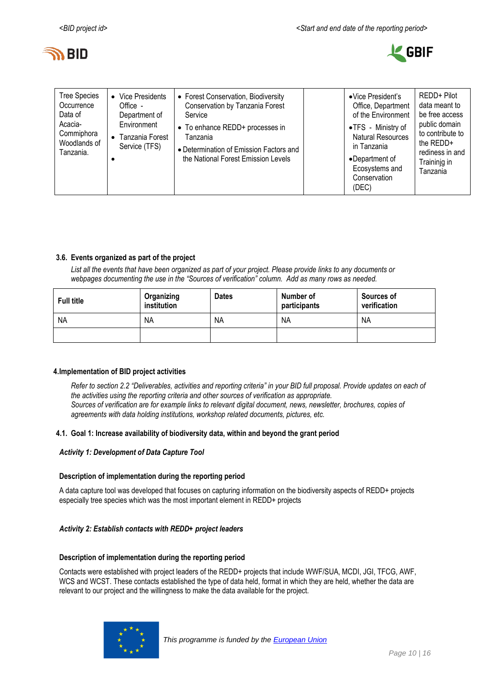



| <b>Tree Species</b><br>Occurrence<br>Data of<br>Acacia-<br>Commiphora<br>Woodlands of<br>Tanzania. | $\bullet$ | • Vice Presidents<br>$Office -$<br>Department of<br>Environment<br>Tanzania Forest<br>Service (TFS) | • Forest Conservation, Biodiversity<br>Conservation by Tanzania Forest<br>Service<br>• To enhance REDD+ processes in<br>Tanzania<br>• Determination of Emission Factors and<br>the National Forest Emission Levels |  | •Vice President's<br>Office, Department<br>of the Environment<br>•TFS - Ministry of<br><b>Natural Resources</b><br>in Tanzania<br>•Department of<br>Ecosystems and<br>Conservation<br>(DEC) | REDD+ Pilot<br>data meant to<br>be free access<br>public domain<br>to contribute to<br>the $REDD+$<br>rediness in and<br>Traininig in<br>Tanzania |
|----------------------------------------------------------------------------------------------------|-----------|-----------------------------------------------------------------------------------------------------|--------------------------------------------------------------------------------------------------------------------------------------------------------------------------------------------------------------------|--|---------------------------------------------------------------------------------------------------------------------------------------------------------------------------------------------|---------------------------------------------------------------------------------------------------------------------------------------------------|
|----------------------------------------------------------------------------------------------------|-----------|-----------------------------------------------------------------------------------------------------|--------------------------------------------------------------------------------------------------------------------------------------------------------------------------------------------------------------------|--|---------------------------------------------------------------------------------------------------------------------------------------------------------------------------------------------|---------------------------------------------------------------------------------------------------------------------------------------------------|

# **3.6. Events organized as part of the project**

*List all the events that have been organized as part of your project. Please provide links to any documents or webpages documenting the use in the "Sources of verification" column. Add as many rows as needed.*

| <b>Full title</b> | Organizing<br>institution | <b>Dates</b> | Number of<br>participants | Sources of<br>verification |
|-------------------|---------------------------|--------------|---------------------------|----------------------------|
| <b>NA</b>         | <b>NA</b>                 | <b>NA</b>    | <b>NA</b>                 | <b>NA</b>                  |
|                   |                           |              |                           |                            |

# <span id="page-9-0"></span>**4.Implementation of BID project activities**

*Refer to section 2.2 "Deliverables, activities and reporting criteria" in your BID full proposal. Provide updates on each of the activities using the reporting criteria and other sources of verification as appropriate. Sources of verification are for example links to relevant digital document, news, newsletter, brochures, copies of agreements with data holding institutions, workshop related documents, pictures, etc.*

### **4.1. Goal 1: Increase availability of biodiversity data, within and beyond the grant period**

### *Activity 1: Development of Data Capture Tool*

### **Description of implementation during the reporting period**

A data capture tool was developed that focuses on capturing information on the biodiversity aspects of REDD+ projects especially tree species which was the most important element in REDD+ projects

### *Activity 2: Establish contacts with REDD+ project leaders*

### **Description of implementation during the reporting period**

Contacts were established with project leaders of the REDD+ projects that include WWF/SUA, MCDI, JGI, TFCG, AWF, WCS and WCST. These contacts established the type of data held, format in which they are held, whether the data are relevant to our project and the willingness to make the data available for the project.

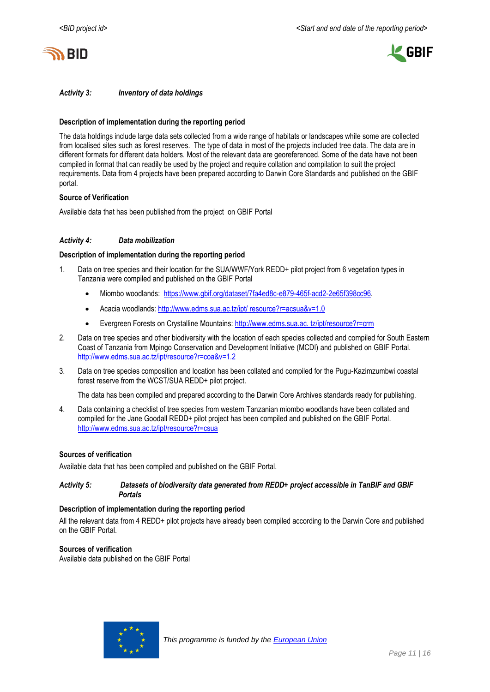



# *Activity 3: Inventory of data holdings*

### **Description of implementation during the reporting period**

The data holdings include large data sets collected from a wide range of habitats or landscapes while some are collected from localised sites such as forest reserves. The type of data in most of the projects included tree data. The data are in different formats for different data holders. Most of the relevant data are georeferenced. Some of the data have not been compiled in format that can readily be used by the project and require collation and compilation to suit the project requirements. Data from 4 projects have been prepared according to Darwin Core Standards and published on the GBIF portal.

### **Source of Verification**

Available data that has been published from the project on GBIF Portal

#### *Activity 4: Data mobilization*

#### **Description of implementation during the reporting period**

- Data on tree species and their location for the SUA/WWF/York REDD+ pilot project from 6 vegetation types in Tanzania were compiled and published on the GBIF Portal
	- Miombo woodlands: [https://www.gbif.org/dataset/7fa4ed8c-e879-465f-acd2-2e65f398cc96.](https://www.gbif.org/dataset/7fa4ed8c-e879-465f-acd2-2e65f398cc96)
	- Acacia woodlands: [http://www.edms.sua.ac.tz/ipt/ resource?r=acsua&v=1.0](http://www.edms.sua.ac.tz/ipt/%20resource?r=acsua&v=1.0)
	- Evergreen Forests on Crystalline Mountains: http://www.edms.sua.ac. tz/ipt/resource?r=crm
- 2. Data on tree species and other biodiversity with the location of each species collected and compiled for South Eastern Coast of Tanzania from Mpingo Conservation and Development Initiative (MCDI) and published on GBIF Portal. <http://www.edms.sua.ac.tz/ipt/resource?r=coa&v=1.2>
- 3. Data on tree species composition and location has been collated and compiled for the Pugu-Kazimzumbwi coastal forest reserve from the WCST/SUA REDD+ pilot project.

The data has been compiled and prepared according to the Darwin Core Archives standards ready for publishing.

4. Data containing a checklist of tree species from western Tanzanian miombo woodlands have been collated and compiled for the Jane Goodall REDD+ pilot project has been compiled and published on the GBIF Portal. <http://www.edms.sua.ac.tz/ipt/resource?r=csua>

#### **Sources of verification**

Available data that has been compiled and published on the GBIF Portal.

### *Activity 5: Datasets of biodiversity data generated from REDD+ project accessible in TanBIF and GBIF Portals*

#### **Description of implementation during the reporting period**

All the relevant data from 4 REDD+ pilot projects have already been compiled according to the Darwin Core and published on the GBIF Portal.

### **Sources of verification**

Available data published on the GBIF Portal

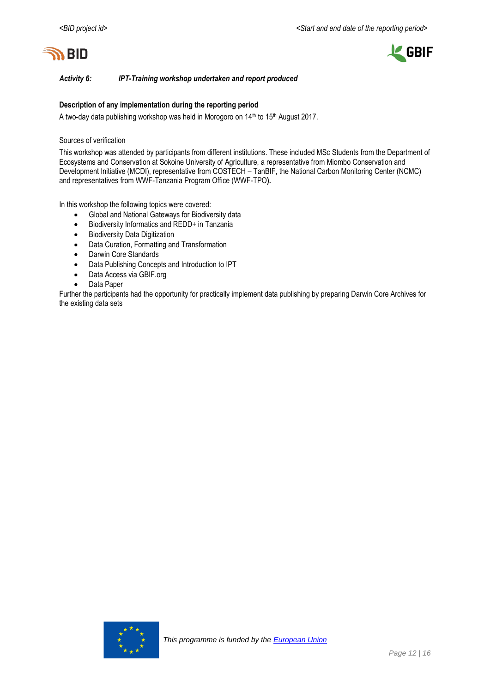



*Activity 6: IPT-Training workshop undertaken and report produced*

# **Description of any implementation during the reporting period**

A two-day data publishing workshop was held in Morogoro on 14<sup>th</sup> to 15<sup>th</sup> August 2017.

### Sources of verification

This workshop was attended by participants from different institutions. These included MSc Students from the Department of Ecosystems and Conservation at Sokoine University of Agriculture, a representative from Miombo Conservation and Development Initiative (MCDI), representative from COSTECH – TanBIF, the National Carbon Monitoring Center (NCMC) and representatives from WWF-Tanzania Program Office (WWF-TPO**).** 

In this workshop the following topics were covered:

- Global and National Gateways for Biodiversity data
- Biodiversity Informatics and REDD+ in Tanzania
- **•** Biodiversity Data Digitization
- Data Curation, Formatting and Transformation
- Darwin Core Standards
- Data Publishing Concepts and Introduction to IPT
- Data Access via GBIF.org
- Data Paper

Further the participants had the opportunity for practically implement data publishing by preparing Darwin Core Archives for the existing data sets

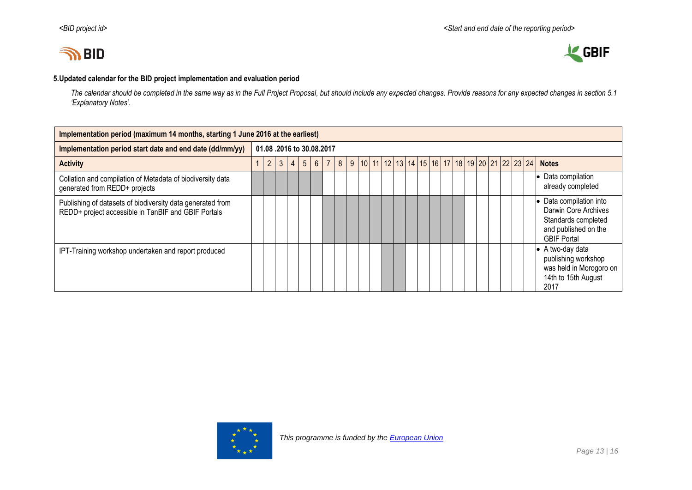



# **5.Updated calendar for the BID project implementation and evaluation period**

*The calendar should be completed in the same way as in the Full Project Proposal, but should include any expected changes. Provide reasons for any expected changes in section 5.1 'Explanatory Notes'.*

<span id="page-12-0"></span>

| Implementation period (maximum 14 months, starting 1 June 2016 at the earliest)                                   |                          |   |   |                |                |   |  |   |  |  |  |  |  |  |                                                |  |  |  |  |  |                                                                                                                      |
|-------------------------------------------------------------------------------------------------------------------|--------------------------|---|---|----------------|----------------|---|--|---|--|--|--|--|--|--|------------------------------------------------|--|--|--|--|--|----------------------------------------------------------------------------------------------------------------------|
| Implementation period start date and end date (dd/mm/yy)                                                          | 01.08.2016 to 30.08.2017 |   |   |                |                |   |  |   |  |  |  |  |  |  |                                                |  |  |  |  |  |                                                                                                                      |
| <b>Activity</b>                                                                                                   |                          | 2 | 3 | $\overline{4}$ | 5 <sup>5</sup> | 6 |  | 8 |  |  |  |  |  |  | 9 10 11 12 13 14 15 16 17 18 19 20 21 22 23 24 |  |  |  |  |  | <b>Notes</b>                                                                                                         |
| Collation and compilation of Metadata of biodiversity data<br>generated from REDD+ projects                       |                          |   |   |                |                |   |  |   |  |  |  |  |  |  |                                                |  |  |  |  |  | • Data compilation<br>already completed                                                                              |
| Publishing of datasets of biodiversity data generated from<br>REDD+ project accessible in TanBIF and GBIF Portals |                          |   |   |                |                |   |  |   |  |  |  |  |  |  |                                                |  |  |  |  |  | • Data compilation into<br>Darwin Core Archives<br>Standards completed<br>and published on the<br><b>GBIF Portal</b> |
| IPT-Training workshop undertaken and report produced                                                              |                          |   |   |                |                |   |  |   |  |  |  |  |  |  |                                                |  |  |  |  |  | $\bullet$ A two-day data<br>publishing workshop<br>was held in Morogoro on<br>14th to 15th August<br>2017            |

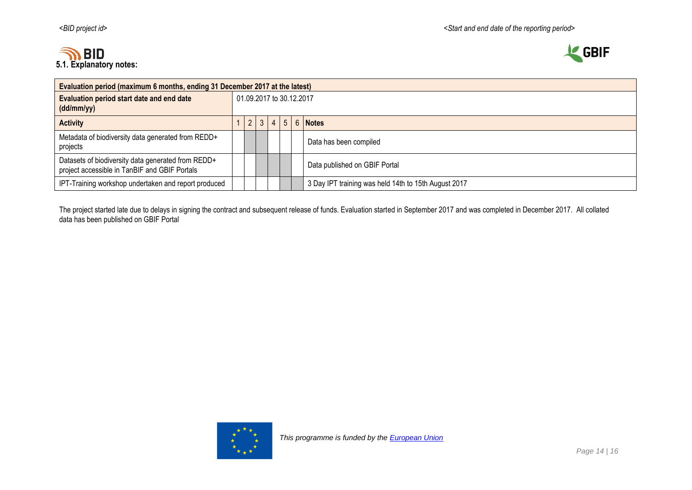



| Evaluation period (maximum 6 months, ending 31 December 2017 at the latest)                         |  |                                                      |  |  |  |  |                               |  |  |  |  |  |
|-----------------------------------------------------------------------------------------------------|--|------------------------------------------------------|--|--|--|--|-------------------------------|--|--|--|--|--|
| Evaluation period start date and end date<br>(dd/mm/yy)                                             |  | 01.09.2017 to 30.12.2017                             |  |  |  |  |                               |  |  |  |  |  |
| <b>Activity</b>                                                                                     |  | $5^{\circ}$<br>6 Notes                               |  |  |  |  |                               |  |  |  |  |  |
| Metadata of biodiversity data generated from REDD+<br>projects                                      |  |                                                      |  |  |  |  | Data has been compiled        |  |  |  |  |  |
| Datasets of biodiversity data generated from REDD+<br>project accessible in TanBIF and GBIF Portals |  |                                                      |  |  |  |  | Data published on GBIF Portal |  |  |  |  |  |
| IPT-Training workshop undertaken and report produced                                                |  | 3 Day IPT training was held 14th to 15th August 2017 |  |  |  |  |                               |  |  |  |  |  |

The project started late due to delays in signing the contract and subsequent release of funds. Evaluation started in September 2017 and was completed in December 2017. All collated data has been published on GBIF Portal

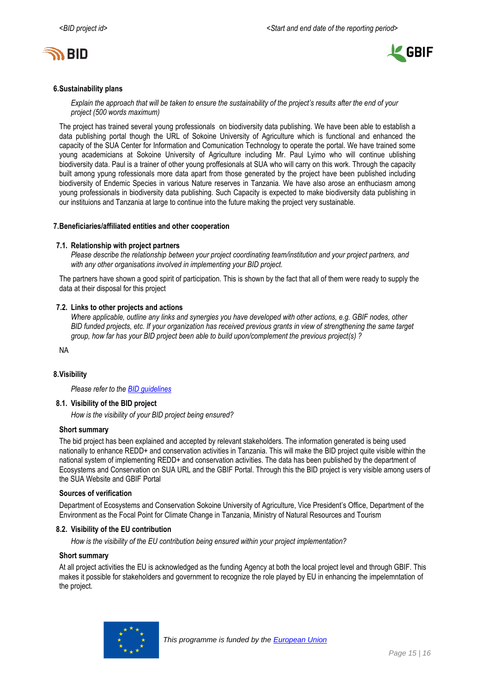



### <span id="page-14-0"></span>**6.Sustainability plans**

*Explain the approach that will be taken to ensure the sustainability of the project's results after the end of your project (500 words maximum)*

The project has trained several young professionals on biodiversity data publishing. We have been able to establish a data publishing portal though the URL of Sokoine University of Agriculture which is functional and enhanced the capacity of the SUA Center for Information and Comunication Technology to operate the portal. We have trained some young academicians at Sokoine University of Agriculture including Mr. Paul Lyimo who will continue ublishing biodiversity data. Paul is a trainer of other young proffesionals at SUA who will carry on this work. Through the capacity built among ypung rofessionals more data apart from those generated by the project have been published including biodiversity of Endemic Species in various Nature reserves in Tanzania. We have also arose an enthuciasm among young professionals in biodiversity data publishing. Such Capacity is expected to make biodiversity data publishing in our instituions and Tanzania at large to continue into the future making the project very sustainable.

### <span id="page-14-1"></span>**7.Beneficiaries/affiliated entities and other cooperation**

### **7.1. Relationship with project partners**

*Please describe the relationship between your project coordinating team/institution and your project partners, and with any other organisations involved in implementing your BID project.*

The partners have shown a good spirit of participation. This is shown by the fact that all of them were ready to supply the data at their disposal for this project

# **7.2. Links to other projects and actions**

*Where applicable, outline any links and synergies you have developed with other actions, e.g. GBIF nodes, other BID funded projects, etc. If your organization has received previous grants in view of strengthening the same target group, how far has your BID project been able to build upon/complement the previous project(s) ?*

NA

# **8.Visibility**

*Please refer to th[e BID guidelines](http://bid.gbif.org/en/community/communication-guidelines/)*

### **8.1. Visibility of the BID project**

*How is the visibility of your BID project being ensured?*

# **Short summary**

The bid project has been explained and accepted by relevant stakeholders. The information generated is being used nationally to enhance REDD+ and conservation activities in Tanzania. This will make the BID project quite visible within the national system of implementing REDD+ and conservation activities. The data has been published by the department of Ecosystems and Conservation on SUA URL and the GBIF Portal. Through this the BID project is very visible among users of the SUA Website and GBIF Portal

### **Sources of verification**

Department of Ecosystems and Conservation Sokoine University of Agriculture, Vice President's Office, Department of the Environment as the Focal Point for Climate Change in Tanzania, Ministry of Natural Resources and Tourism

### **8.2. Visibility of the EU contribution**

*How is the visibility of the EU contribution being ensured within your project implementation?*

### **Short summary**

At all project activities the EU is acknowledged as the funding Agency at both the local project level and through GBIF. This makes it possible for stakeholders and government to recognize the role played by EU in enhancing the impelemntation of the project.